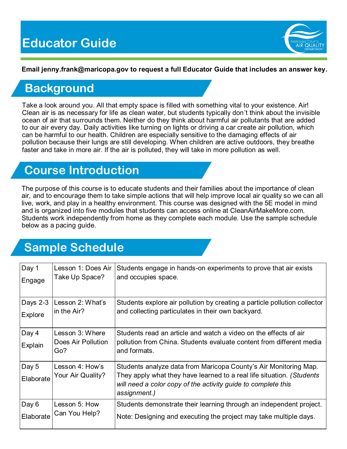

#### **Email jenny.frank@maricopa.gov to request a full Educator Guide that includes an answer key.**

### **Background**

Take a look around you. All that empty space is filled with something vital to your existence. Air! Clean air is as necessary for life as clean water, but students typically don't think about the invisible ocean of air that surrounds them. Neither do they think about harmful air pollutants that are added to our air every day. Daily activities like turning on lights or driving a car create air pollution, which can be harmful to our health. Children are especially sensitive to the damaging effects of air pollution because their lungs are still developing. When children are active outdoors, they breathe faster and take in more air. If the air is polluted, they will take in more pollution as well.

### **Course Introduction**

The purpose of this course is to educate students and their families about the importance of clean air, and to encourage them to take simple actions that will help improve local air quality so we can all live, work, and play in a healthy environment. This course was designed with the 5E model in mind and is organized into five modules that students can access online at CleanAirMakeMore.com. Students work independently from home as they complete each module. Use the sample schedule below as a pacing guide.

## **Sample Schedule**

| Day 1              | Lesson 1: Does Air                           | Students engage in hands-on experiments to prove that air exists                                                                                                                                                           |
|--------------------|----------------------------------------------|----------------------------------------------------------------------------------------------------------------------------------------------------------------------------------------------------------------------------|
| Engage             | Take Up Space?                               | and occupies space.                                                                                                                                                                                                        |
| Days 2-3           | Lesson 2: What's                             | Students explore air pollution by creating a particle pollution collector                                                                                                                                                  |
| Explore            | in the Air?                                  | and collecting particulates in their own backyard.                                                                                                                                                                         |
| Day 4<br>Explain   | Lesson 3: Where<br>Does Air Pollution<br>Go? | Students read an article and watch a video on the effects of air<br>pollution from China. Students evaluate content from different media<br>and formats.                                                                   |
| Day 5<br>Elaborate | Lesson 4: How's<br>Your Air Quality?         | Students analyze data from Maricopa County's Air Monitoring Map.<br>They apply what they have learned to a real life situation. (Students<br>will need a color copy of the activity guide to complete this<br>assignment.) |
| Day 6              | Lesson 5: How                                | Students demonstrate their learning through an independent project.                                                                                                                                                        |
| Elaborate          | Can You Help?                                | Note: Designing and executing the project may take multiple days.                                                                                                                                                          |